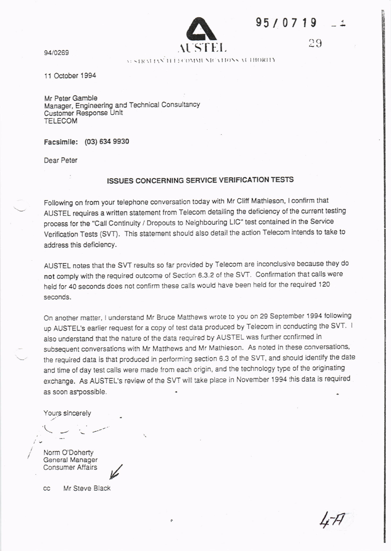| 95/0719 |  |  |  |
|---------|--|--|--|
|         |  |  |  |

 $29$ 



94/0269

)ヽ :ヽ !:ヽ :I!:(t'ヽ 1ヽ :t` 1( 11■ ll::● :1ヽ

11 0ctober 1 994

Mr Peter Gamble<br>Manager, Engineering and Technical Consultancy Customer Response Unit TELECOM

Facsimile: (03) 634 9930

Dear Peter

## ISSUES CONCERNING SERVICE VERIFICATION TESTS

Following on trom your telephone conversation today with Mr cliff Mathieson, lconfirm that AUSTEL requires a written statement trom Telecom detailing the deficiency of the curent testing process for the "Call Continuity / Dropouts to Neighbouring LIC" test contained in the Service Verification Tests (SVT). This statement should also detail the action Telecom intends to take to address this deficiency.

AUSTEL notes that the svT results so far provided by Telecom are inconclusive because they do not comply with the required outcome of Section 6.3.2 of the SW. Confirmation thal calls were held for 40 seconds does not confirm these calls would have been held for the required 120 seconds.

On another matter, I understand Mr Bruce Matthews wrote to you on 29 September 1994 following up AUSTEL's earlier request for a copy of test data produced by Telecom in ccnducting the SVT. <sup>I</sup> also understand that the nature of the data required by AUSTEL was furher ccnfirmed in subsequent conversations with Mr Matthews and Mr Mathieson. As noted in these conversations, the required data is that produced in performing section 6.3 of the SVT, and should identify the date and time ot day test calls were made from each origin, and the technology type of the originating exchange. As AUSTEL's review of the SVT will take place in November 1994 this data is required as soon as possible.

Yours sincerely

 $\backslash$   $\backslash$ 

Norm O'Doherty General Manager Consumer Affairs

 $cc$ 

Mr Steve Black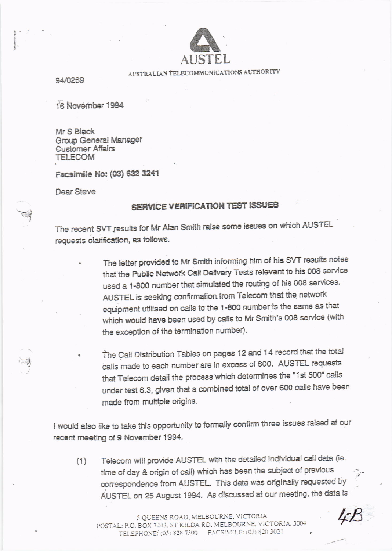

## AUSTRALIAN TELECOMMUNICATIONS AUTHORITY

94/0269

16 November 1994

Mr S Black Group General Manager **Customer Affairs TELECOM** 

Facsimile No: (03) 632 3241

Dear Steve

## **SERVICE VERIFICATION TEST ISSUES**

The recent SVT results for Mr Alan Smith raise some issues on which AUSTEL requests clarification, as follows.

- The letter provided to Mr Smith informing him of his SVT results notes that the Public Network Call Delivery Tests relevant to his 008 service used a 1-800 number that simulated the routing of his 008 services. AUSTEL is seeking confirmation from Telecom that the network equipment utilised on calls to the 1-800 number is the same as that which would have been used by calls to Mr Smith's 008 service (with the exception of the termination number).
	- The Call Distribution Tables on pages 12 and 14 record that the total calls made to each number are in excess of 600. AUSTEL requests that Telecom detail the process which determines the "1st 500" calls under test 6.3, given that a combined total of over 600 calls have been made from multiple origins.

I would also like to take this opportunity to formally confirm three issues raised at our recent meeting of 9 November 1994.

Telecom will provide AUSTEL with the detailed individual call data (ie.  $(1)$ time of day & origin of call) which has been the subject of previous correspondence from AUSTEL. This data was originally requested by AUSTEL on 25 August 1994. As discussed at our meeting, the data is

5 QUEENS ROAD, MELBOURNE, VICTORIA POSTAL: P.O. BOX 7443, ST KILDA RD, MELBOURNE, VICTORIA, 3004 TELEPHONE: (03) 828 7300 FACSIMILE: (03) 820 3021